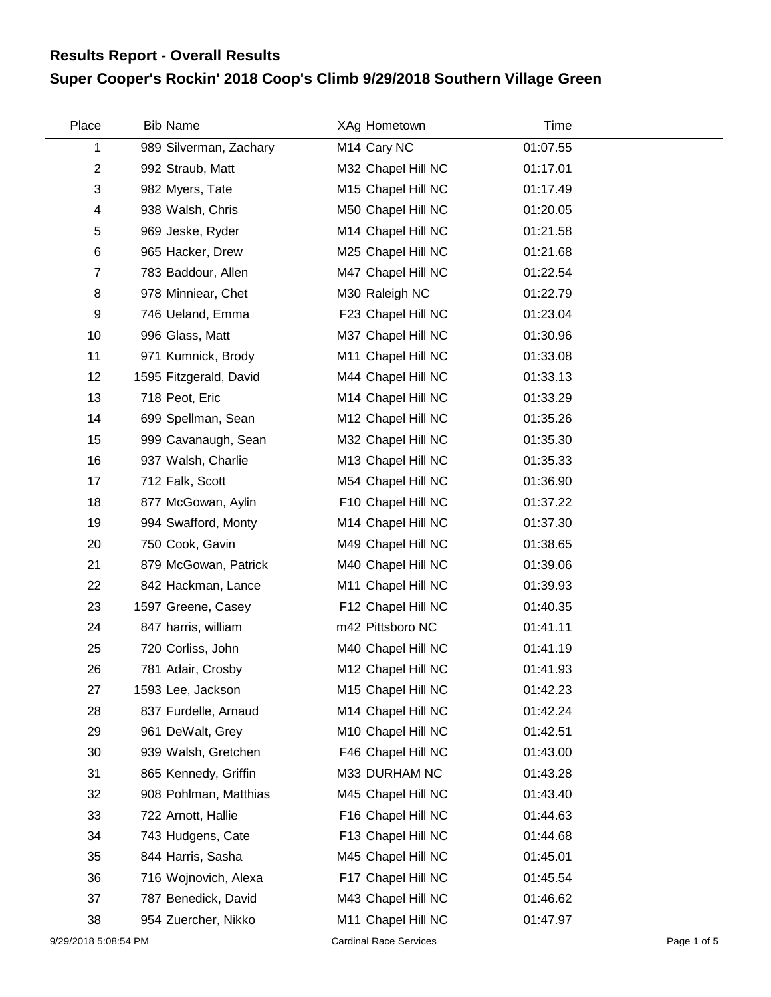## **Super Cooper's Rockin' 2018 Coop's Climb 9/29/2018 Southern Village Green Results Report - Overall Results**

| Place                   | <b>Bib Name</b>        | XAg Hometown            | Time     |  |
|-------------------------|------------------------|-------------------------|----------|--|
| 1                       | 989 Silverman, Zachary | M <sub>14</sub> Cary NC | 01:07.55 |  |
| $\overline{2}$          | 992 Straub, Matt       | M32 Chapel Hill NC      | 01:17.01 |  |
| 3                       | 982 Myers, Tate        | M15 Chapel Hill NC      | 01:17.49 |  |
| $\overline{\mathbf{4}}$ | 938 Walsh, Chris       | M50 Chapel Hill NC      | 01:20.05 |  |
| 5                       | 969 Jeske, Ryder       | M14 Chapel Hill NC      | 01:21.58 |  |
| 6                       | 965 Hacker, Drew       | M25 Chapel Hill NC      | 01:21.68 |  |
| $\overline{7}$          | 783 Baddour, Allen     | M47 Chapel Hill NC      | 01:22.54 |  |
| 8                       | 978 Minniear, Chet     | M30 Raleigh NC          | 01:22.79 |  |
| 9                       | 746 Ueland, Emma       | F23 Chapel Hill NC      | 01:23.04 |  |
| 10                      | 996 Glass, Matt        | M37 Chapel Hill NC      | 01:30.96 |  |
| 11                      | 971 Kumnick, Brody     | M11 Chapel Hill NC      | 01:33.08 |  |
| 12                      | 1595 Fitzgerald, David | M44 Chapel Hill NC      | 01:33.13 |  |
| 13                      | 718 Peot, Eric         | M14 Chapel Hill NC      | 01:33.29 |  |
| 14                      | 699 Spellman, Sean     | M12 Chapel Hill NC      | 01:35.26 |  |
| 15                      | 999 Cavanaugh, Sean    | M32 Chapel Hill NC      | 01:35.30 |  |
| 16                      | 937 Walsh, Charlie     | M13 Chapel Hill NC      | 01:35.33 |  |
| 17                      | 712 Falk, Scott        | M54 Chapel Hill NC      | 01:36.90 |  |
| 18                      | 877 McGowan, Aylin     | F10 Chapel Hill NC      | 01:37.22 |  |
| 19                      | 994 Swafford, Monty    | M14 Chapel Hill NC      | 01:37.30 |  |
| 20                      | 750 Cook, Gavin        | M49 Chapel Hill NC      | 01:38.65 |  |
| 21                      | 879 McGowan, Patrick   | M40 Chapel Hill NC      | 01:39.06 |  |
| 22                      | 842 Hackman, Lance     | M11 Chapel Hill NC      | 01:39.93 |  |
| 23                      | 1597 Greene, Casey     | F12 Chapel Hill NC      | 01:40.35 |  |
| 24                      | 847 harris, william    | m42 Pittsboro NC        | 01:41.11 |  |
| 25                      | 720 Corliss, John      | M40 Chapel Hill NC      | 01:41.19 |  |
| 26                      | 781 Adair, Crosby      | M12 Chapel Hill NC      | 01:41.93 |  |
| 27                      | 1593 Lee, Jackson      | M15 Chapel Hill NC      | 01:42.23 |  |
| 28                      | 837 Furdelle, Arnaud   | M14 Chapel Hill NC      | 01:42.24 |  |
| 29                      | 961 DeWalt, Grey       | M10 Chapel Hill NC      | 01:42.51 |  |
| 30                      | 939 Walsh, Gretchen    | F46 Chapel Hill NC      | 01:43.00 |  |
| 31                      | 865 Kennedy, Griffin   | M33 DURHAM NC           | 01:43.28 |  |
| 32                      | 908 Pohlman, Matthias  | M45 Chapel Hill NC      | 01:43.40 |  |
| 33                      | 722 Arnott, Hallie     | F16 Chapel Hill NC      | 01:44.63 |  |
| 34                      | 743 Hudgens, Cate      | F13 Chapel Hill NC      | 01:44.68 |  |
| 35                      | 844 Harris, Sasha      | M45 Chapel Hill NC      | 01:45.01 |  |
| 36                      | 716 Wojnovich, Alexa   | F17 Chapel Hill NC      | 01:45.54 |  |
| 37                      | 787 Benedick, David    | M43 Chapel Hill NC      | 01:46.62 |  |
| 38                      | 954 Zuercher, Nikko    | M11 Chapel Hill NC      | 01:47.97 |  |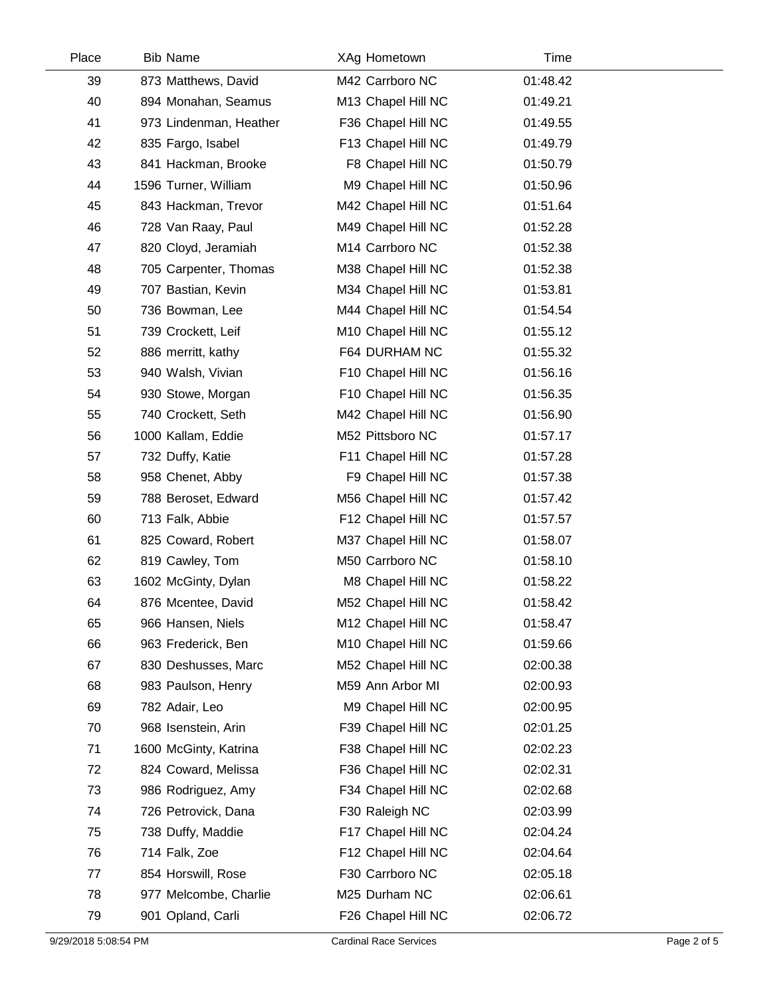| Place | <b>Bib Name</b>        | XAg Hometown       | Time     |  |
|-------|------------------------|--------------------|----------|--|
| 39    | 873 Matthews, David    | M42 Carrboro NC    | 01:48.42 |  |
| 40    | 894 Monahan, Seamus    | M13 Chapel Hill NC | 01:49.21 |  |
| 41    | 973 Lindenman, Heather | F36 Chapel Hill NC | 01:49.55 |  |
| 42    | 835 Fargo, Isabel      | F13 Chapel Hill NC | 01:49.79 |  |
| 43    | 841 Hackman, Brooke    | F8 Chapel Hill NC  | 01:50.79 |  |
| 44    | 1596 Turner, William   | M9 Chapel Hill NC  | 01:50.96 |  |
| 45    | 843 Hackman, Trevor    | M42 Chapel Hill NC | 01:51.64 |  |
| 46    | 728 Van Raay, Paul     | M49 Chapel Hill NC | 01:52.28 |  |
| 47    | 820 Cloyd, Jeramiah    | M14 Carrboro NC    | 01:52.38 |  |
| 48    | 705 Carpenter, Thomas  | M38 Chapel Hill NC | 01:52.38 |  |
| 49    | 707 Bastian, Kevin     | M34 Chapel Hill NC | 01:53.81 |  |
| 50    | 736 Bowman, Lee        | M44 Chapel Hill NC | 01:54.54 |  |
| 51    | 739 Crockett, Leif     | M10 Chapel Hill NC | 01:55.12 |  |
| 52    | 886 merritt, kathy     | F64 DURHAM NC      | 01:55.32 |  |
| 53    | 940 Walsh, Vivian      | F10 Chapel Hill NC | 01:56.16 |  |
| 54    | 930 Stowe, Morgan      | F10 Chapel Hill NC | 01:56.35 |  |
| 55    | 740 Crockett, Seth     | M42 Chapel Hill NC | 01:56.90 |  |
| 56    | 1000 Kallam, Eddie     | M52 Pittsboro NC   | 01:57.17 |  |
| 57    | 732 Duffy, Katie       | F11 Chapel Hill NC | 01:57.28 |  |
| 58    | 958 Chenet, Abby       | F9 Chapel Hill NC  | 01:57.38 |  |
| 59    | 788 Beroset, Edward    | M56 Chapel Hill NC | 01:57.42 |  |
| 60    | 713 Falk, Abbie        | F12 Chapel Hill NC | 01:57.57 |  |
| 61    | 825 Coward, Robert     | M37 Chapel Hill NC | 01:58.07 |  |
| 62    | 819 Cawley, Tom        | M50 Carrboro NC    | 01:58.10 |  |
| 63    | 1602 McGinty, Dylan    | M8 Chapel Hill NC  | 01:58.22 |  |
| 64    | 876 Mcentee, David     | M52 Chapel Hill NC | 01:58.42 |  |
| 65    | 966 Hansen, Niels      | M12 Chapel Hill NC | 01:58.47 |  |
| 66    | 963 Frederick, Ben     | M10 Chapel Hill NC | 01:59.66 |  |
| 67    | 830 Deshusses, Marc    | M52 Chapel Hill NC | 02:00.38 |  |
| 68    | 983 Paulson, Henry     | M59 Ann Arbor MI   | 02:00.93 |  |
| 69    | 782 Adair, Leo         | M9 Chapel Hill NC  | 02:00.95 |  |
| 70    | 968 Isenstein, Arin    | F39 Chapel Hill NC | 02:01.25 |  |
| 71    | 1600 McGinty, Katrina  | F38 Chapel Hill NC | 02:02.23 |  |
| 72    | 824 Coward, Melissa    | F36 Chapel Hill NC | 02:02.31 |  |
| 73    | 986 Rodriguez, Amy     | F34 Chapel Hill NC | 02:02.68 |  |
| 74    | 726 Petrovick, Dana    | F30 Raleigh NC     | 02:03.99 |  |
| 75    | 738 Duffy, Maddie      | F17 Chapel Hill NC | 02:04.24 |  |
| 76    | 714 Falk, Zoe          | F12 Chapel Hill NC | 02:04.64 |  |
| 77    | 854 Horswill, Rose     | F30 Carrboro NC    | 02:05.18 |  |
| 78    | 977 Melcombe, Charlie  | M25 Durham NC      | 02:06.61 |  |
| 79    | 901 Opland, Carli      | F26 Chapel Hill NC | 02:06.72 |  |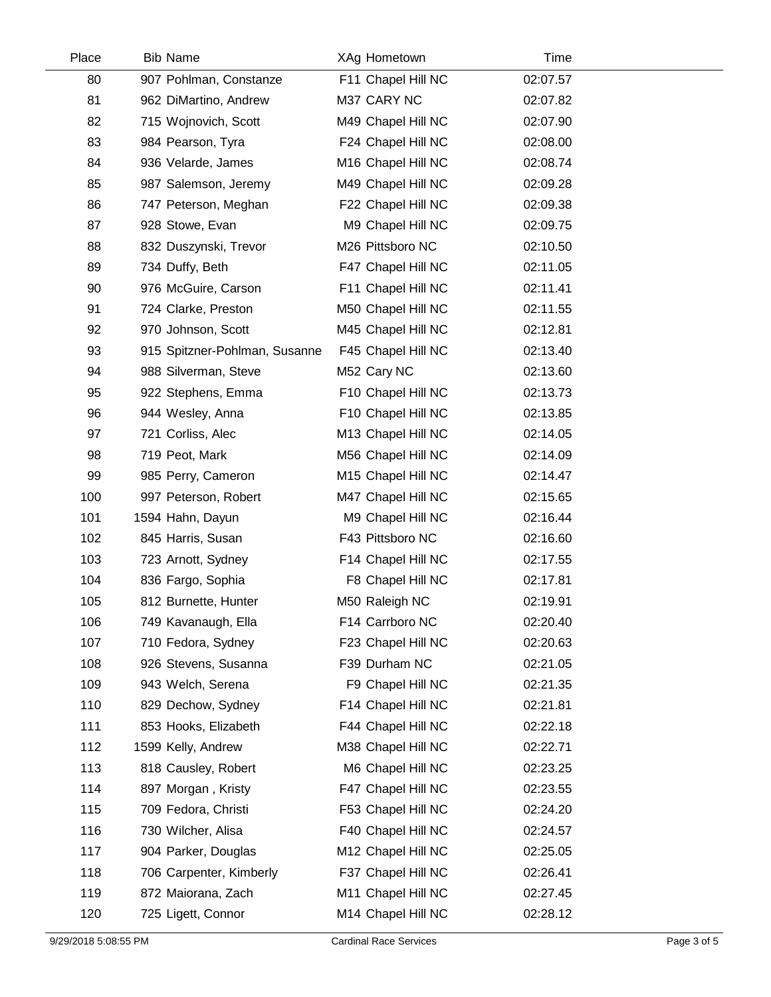| Place | <b>Bib Name</b>               | XAg Hometown       | Time     |  |
|-------|-------------------------------|--------------------|----------|--|
| 80    | 907 Pohlman, Constanze        | F11 Chapel Hill NC | 02:07.57 |  |
| 81    | 962 DiMartino, Andrew         | M37 CARY NC        | 02:07.82 |  |
| 82    | 715 Wojnovich, Scott          | M49 Chapel Hill NC | 02:07.90 |  |
| 83    | 984 Pearson, Tyra             | F24 Chapel Hill NC | 02:08.00 |  |
| 84    | 936 Velarde, James            | M16 Chapel Hill NC | 02:08.74 |  |
| 85    | 987 Salemson, Jeremy          | M49 Chapel Hill NC | 02:09.28 |  |
| 86    | 747 Peterson, Meghan          | F22 Chapel Hill NC | 02:09.38 |  |
| 87    | 928 Stowe, Evan               | M9 Chapel Hill NC  | 02:09.75 |  |
| 88    | 832 Duszynski, Trevor         | M26 Pittsboro NC   | 02:10.50 |  |
| 89    | 734 Duffy, Beth               | F47 Chapel Hill NC | 02:11.05 |  |
| 90    | 976 McGuire, Carson           | F11 Chapel Hill NC | 02:11.41 |  |
| 91    | 724 Clarke, Preston           | M50 Chapel Hill NC | 02:11.55 |  |
| 92    | 970 Johnson, Scott            | M45 Chapel Hill NC | 02:12.81 |  |
| 93    | 915 Spitzner-Pohlman, Susanne | F45 Chapel Hill NC | 02:13.40 |  |
| 94    | 988 Silverman, Steve          | M52 Cary NC        | 02:13.60 |  |
| 95    | 922 Stephens, Emma            | F10 Chapel Hill NC | 02:13.73 |  |
| 96    | 944 Wesley, Anna              | F10 Chapel Hill NC | 02:13.85 |  |
| 97    | 721 Corliss, Alec             | M13 Chapel Hill NC | 02:14.05 |  |
| 98    | 719 Peot, Mark                | M56 Chapel Hill NC | 02:14.09 |  |
| 99    | 985 Perry, Cameron            | M15 Chapel Hill NC | 02:14.47 |  |
| 100   | 997 Peterson, Robert          | M47 Chapel Hill NC | 02:15.65 |  |
| 101   | 1594 Hahn, Dayun              | M9 Chapel Hill NC  | 02:16.44 |  |
| 102   | 845 Harris, Susan             | F43 Pittsboro NC   | 02:16.60 |  |
| 103   | 723 Arnott, Sydney            | F14 Chapel Hill NC | 02:17.55 |  |
| 104   | 836 Fargo, Sophia             | F8 Chapel Hill NC  | 02:17.81 |  |
| 105   | 812 Burnette, Hunter          | M50 Raleigh NC     | 02:19.91 |  |
| 106   | 749 Kavanaugh, Ella           | F14 Carrboro NC    | 02:20.40 |  |
| 107   | 710 Fedora, Sydney            | F23 Chapel Hill NC | 02:20.63 |  |
| 108   | 926 Stevens, Susanna          | F39 Durham NC      | 02:21.05 |  |
| 109   | 943 Welch, Serena             | F9 Chapel Hill NC  | 02:21.35 |  |
| 110   | 829 Dechow, Sydney            | F14 Chapel Hill NC | 02:21.81 |  |
| 111   | 853 Hooks, Elizabeth          | F44 Chapel Hill NC | 02:22.18 |  |
| 112   | 1599 Kelly, Andrew            | M38 Chapel Hill NC | 02:22.71 |  |
| 113   | 818 Causley, Robert           | M6 Chapel Hill NC  | 02:23.25 |  |
| 114   | 897 Morgan, Kristy            | F47 Chapel Hill NC | 02:23.55 |  |
| 115   | 709 Fedora, Christi           | F53 Chapel Hill NC | 02:24.20 |  |
| 116   | 730 Wilcher, Alisa            | F40 Chapel Hill NC | 02:24.57 |  |
| 117   | 904 Parker, Douglas           | M12 Chapel Hill NC | 02:25.05 |  |
| 118   | 706 Carpenter, Kimberly       | F37 Chapel Hill NC | 02:26.41 |  |
| 119   | 872 Maiorana, Zach            | M11 Chapel Hill NC | 02:27.45 |  |
| 120   | 725 Ligett, Connor            | M14 Chapel Hill NC | 02:28.12 |  |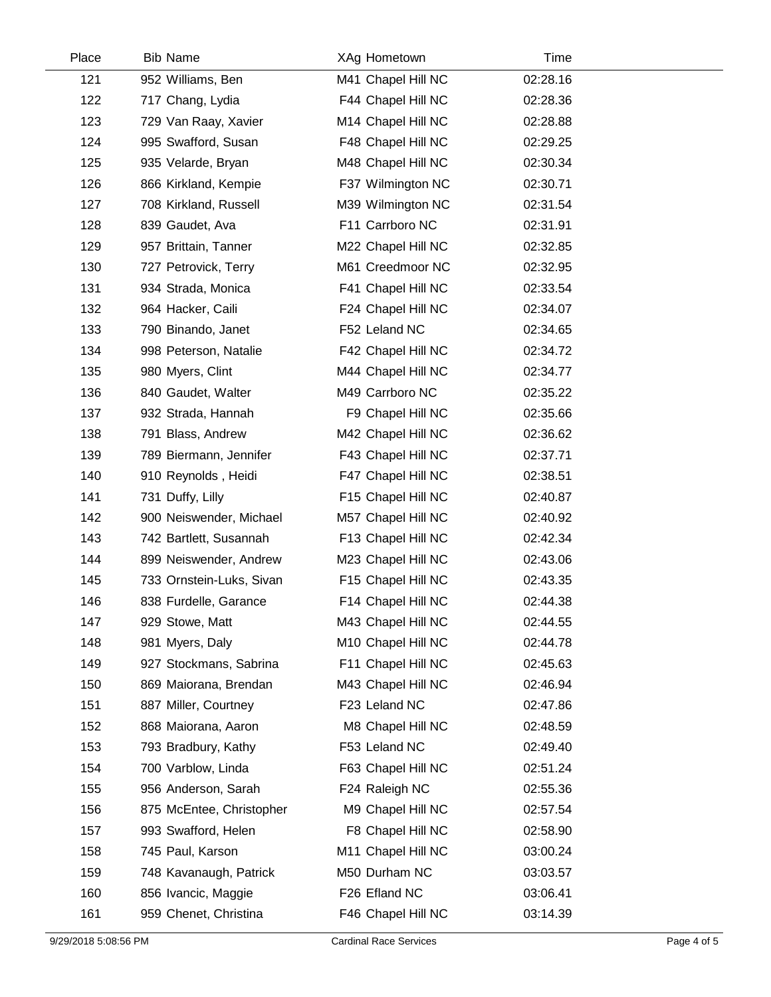| Place | <b>Bib Name</b>          | XAg Hometown       | Time     |  |
|-------|--------------------------|--------------------|----------|--|
| 121   | 952 Williams, Ben        | M41 Chapel Hill NC | 02:28.16 |  |
| 122   | 717 Chang, Lydia         | F44 Chapel Hill NC | 02:28.36 |  |
| 123   | 729 Van Raay, Xavier     | M14 Chapel Hill NC | 02:28.88 |  |
| 124   | 995 Swafford, Susan      | F48 Chapel Hill NC | 02:29.25 |  |
| 125   | 935 Velarde, Bryan       | M48 Chapel Hill NC | 02:30.34 |  |
| 126   | 866 Kirkland, Kempie     | F37 Wilmington NC  | 02:30.71 |  |
| 127   | 708 Kirkland, Russell    | M39 Wilmington NC  | 02:31.54 |  |
| 128   | 839 Gaudet, Ava          | F11 Carrboro NC    | 02:31.91 |  |
| 129   | 957 Brittain, Tanner     | M22 Chapel Hill NC | 02:32.85 |  |
| 130   | 727 Petrovick, Terry     | M61 Creedmoor NC   | 02:32.95 |  |
| 131   | 934 Strada, Monica       | F41 Chapel Hill NC | 02:33.54 |  |
| 132   | 964 Hacker, Caili        | F24 Chapel Hill NC | 02:34.07 |  |
| 133   | 790 Binando, Janet       | F52 Leland NC      | 02:34.65 |  |
| 134   | 998 Peterson, Natalie    | F42 Chapel Hill NC | 02:34.72 |  |
| 135   | 980 Myers, Clint         | M44 Chapel Hill NC | 02:34.77 |  |
| 136   | 840 Gaudet, Walter       | M49 Carrboro NC    | 02:35.22 |  |
| 137   | 932 Strada, Hannah       | F9 Chapel Hill NC  | 02:35.66 |  |
| 138   | 791 Blass, Andrew        | M42 Chapel Hill NC | 02:36.62 |  |
| 139   | 789 Biermann, Jennifer   | F43 Chapel Hill NC | 02:37.71 |  |
| 140   | 910 Reynolds, Heidi      | F47 Chapel Hill NC | 02:38.51 |  |
| 141   | 731 Duffy, Lilly         | F15 Chapel Hill NC | 02:40.87 |  |
| 142   | 900 Neiswender, Michael  | M57 Chapel Hill NC | 02:40.92 |  |
| 143   | 742 Bartlett, Susannah   | F13 Chapel Hill NC | 02:42.34 |  |
| 144   | 899 Neiswender, Andrew   | M23 Chapel Hill NC | 02:43.06 |  |
| 145   | 733 Ornstein-Luks, Sivan | F15 Chapel Hill NC | 02:43.35 |  |
| 146   | 838 Furdelle, Garance    | F14 Chapel Hill NC | 02:44.38 |  |
| 147   | 929 Stowe, Matt          | M43 Chapel Hill NC | 02:44.55 |  |
| 148   | 981 Myers, Daly          | M10 Chapel Hill NC | 02:44.78 |  |
| 149   | 927 Stockmans, Sabrina   | F11 Chapel Hill NC | 02:45.63 |  |
| 150   | 869 Maiorana, Brendan    | M43 Chapel Hill NC | 02:46.94 |  |
| 151   | 887 Miller, Courtney     | F23 Leland NC      | 02:47.86 |  |
| 152   | 868 Maiorana, Aaron      | M8 Chapel Hill NC  | 02:48.59 |  |
| 153   | 793 Bradbury, Kathy      | F53 Leland NC      | 02:49.40 |  |
| 154   | 700 Varblow, Linda       | F63 Chapel Hill NC | 02:51.24 |  |
| 155   | 956 Anderson, Sarah      | F24 Raleigh NC     | 02:55.36 |  |
| 156   | 875 McEntee, Christopher | M9 Chapel Hill NC  | 02:57.54 |  |
| 157   | 993 Swafford, Helen      | F8 Chapel Hill NC  | 02:58.90 |  |
| 158   | 745 Paul, Karson         | M11 Chapel Hill NC | 03:00.24 |  |
| 159   | 748 Kavanaugh, Patrick   | M50 Durham NC      | 03:03.57 |  |
| 160   | 856 Ivancic, Maggie      | F26 Efland NC      | 03:06.41 |  |
| 161   | 959 Chenet, Christina    | F46 Chapel Hill NC | 03:14.39 |  |